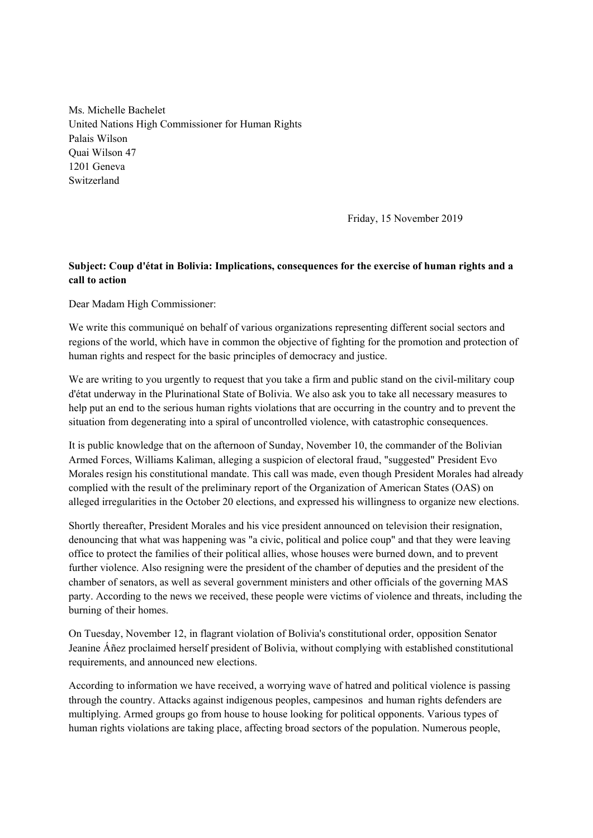Ms. Michelle Bachelet United Nations High Commissioner for Human Rights Palais Wilson Quai Wilson 47 1201 Geneva Switzerland

Friday, 15 November 2019

## **Subject: Coup d'état in Bolivia: Implications, consequences for the exercise of human rights and a call to action**

Dear Madam High Commissioner:

We write this communiqué on behalf of various organizations representing different social sectors and regions of the world, which have in common the objective of fighting for the promotion and protection of human rights and respect for the basic principles of democracy and justice.

We are writing to you urgently to request that you take a firm and public stand on the civil-military coup d'état underway in the Plurinational State of Bolivia. We also ask you to take all necessary measures to help put an end to the serious human rights violations that are occurring in the country and to prevent the situation from degenerating into a spiral of uncontrolled violence, with catastrophic consequences.

It is public knowledge that on the afternoon of Sunday, November 10, the commander of the Bolivian Armed Forces, Williams Kaliman, alleging a suspicion of electoral fraud, "suggested" President Evo Morales resign his constitutional mandate. This call was made, even though President Morales had already complied with the result of the preliminary report of the Organization of American States (OAS) on alleged irregularities in the October 20 elections, and expressed his willingness to organize new elections.

Shortly thereafter, President Morales and his vice president announced on television their resignation, denouncing that what was happening was "a civic, political and police coup" and that they were leaving office to protect the families of their political allies, whose houses were burned down, and to prevent further violence. Also resigning were the president of the chamber of deputies and the president of the chamber of senators, as well as several government ministers and other officials of the governing MAS party. According to the news we received, these people were victims of violence and threats, including the burning of their homes.

On Tuesday, November 12, in flagrant violation of Bolivia's constitutional order, opposition Senator Jeanine Áñez proclaimed herself president of Bolivia, without complying with established constitutional requirements, and announced new elections.

According to information we have received, a worrying wave of hatred and political violence is passing through the country. Attacks against indigenous peoples, campesinos and human rights defenders are multiplying. Armed groups go from house to house looking for political opponents. Various types of human rights violations are taking place, affecting broad sectors of the population. Numerous people,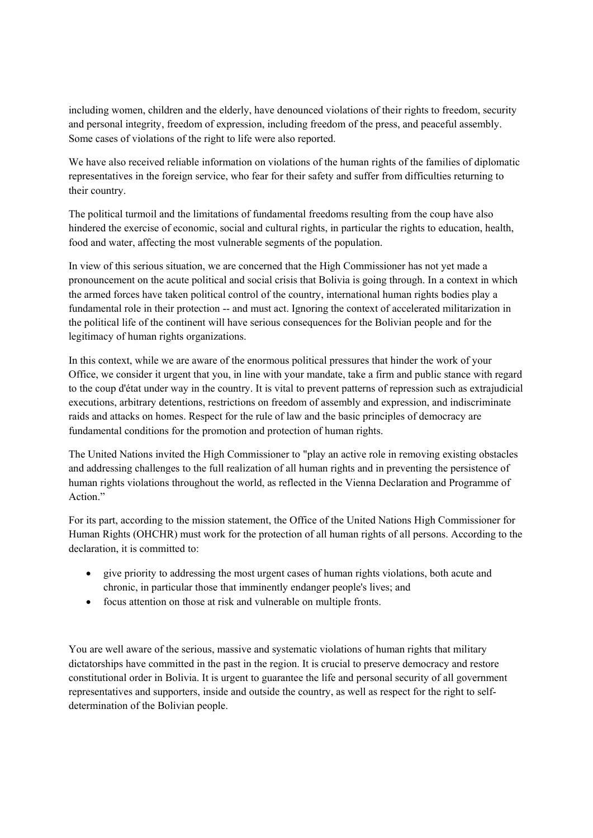including women, children and the elderly, have denounced violations of their rights to freedom, security and personal integrity, freedom of expression, including freedom of the press, and peaceful assembly. Some cases of violations of the right to life were also reported.

We have also received reliable information on violations of the human rights of the families of diplomatic representatives in the foreign service, who fear for their safety and suffer from difficulties returning to their country.

The political turmoil and the limitations of fundamental freedoms resulting from the coup have also hindered the exercise of economic, social and cultural rights, in particular the rights to education, health, food and water, affecting the most vulnerable segments of the population.

In view of this serious situation, we are concerned that the High Commissioner has not yet made a pronouncement on the acute political and social crisis that Bolivia is going through. In a context in which the armed forces have taken political control of the country, international human rights bodies play a fundamental role in their protection -- and must act. Ignoring the context of accelerated militarization in the political life of the continent will have serious consequences for the Bolivian people and for the legitimacy of human rights organizations.

In this context, while we are aware of the enormous political pressures that hinder the work of your Office, we consider it urgent that you, in line with your mandate, take a firm and public stance with regard to the coup d'état under way in the country. It is vital to prevent patterns of repression such as extrajudicial executions, arbitrary detentions, restrictions on freedom of assembly and expression, and indiscriminate raids and attacks on homes. Respect for the rule of law and the basic principles of democracy are fundamental conditions for the promotion and protection of human rights.

The United Nations invited the High Commissioner to "play an active role in removing existing obstacles and addressing challenges to the full realization of all human rights and in preventing the persistence of human rights violations throughout the world, as reflected in the Vienna Declaration and Programme of Action."

For its part, according to the mission statement, the Office of the United Nations High Commissioner for Human Rights (OHCHR) must work for the protection of all human rights of all persons. According to the declaration, it is committed to:

- give priority to addressing the most urgent cases of human rights violations, both acute and chronic, in particular those that imminently endanger people's lives; and
- focus attention on those at risk and vulnerable on multiple fronts.

You are well aware of the serious, massive and systematic violations of human rights that military dictatorships have committed in the past in the region. It is crucial to preserve democracy and restore constitutional order in Bolivia. It is urgent to guarantee the life and personal security of all government representatives and supporters, inside and outside the country, as well as respect for the right to selfdetermination of the Bolivian people.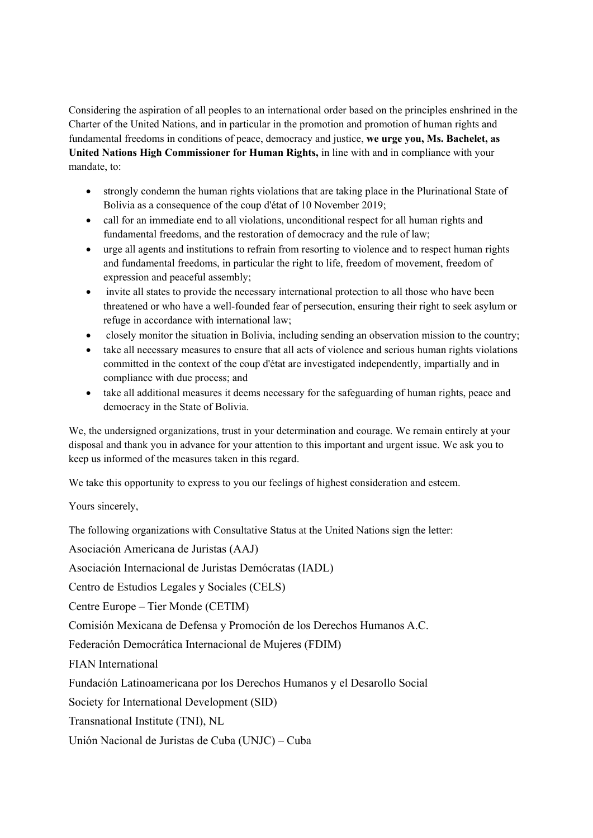Considering the aspiration of all peoples to an international order based on the principles enshrined in the Charter of the United Nations, and in particular in the promotion and promotion of human rights and fundamental freedoms in conditions of peace, democracy and justice, **we urge you, Ms. Bachelet, as United Nations High Commissioner for Human Rights,** in line with and in compliance with your mandate, to:

- strongly condemn the human rights violations that are taking place in the Plurinational State of Bolivia as a consequence of the coup d'état of 10 November 2019;
- call for an immediate end to all violations, unconditional respect for all human rights and fundamental freedoms, and the restoration of democracy and the rule of law;
- urge all agents and institutions to refrain from resorting to violence and to respect human rights and fundamental freedoms, in particular the right to life, freedom of movement, freedom of expression and peaceful assembly;
- invite all states to provide the necessary international protection to all those who have been threatened or who have a well-founded fear of persecution, ensuring their right to seek asylum or refuge in accordance with international law;
- closely monitor the situation in Bolivia, including sending an observation mission to the country;
- take all necessary measures to ensure that all acts of violence and serious human rights violations committed in the context of the coup d'état are investigated independently, impartially and in compliance with due process; and
- take all additional measures it deems necessary for the safeguarding of human rights, peace and democracy in the State of Bolivia.

We, the undersigned organizations, trust in your determination and courage. We remain entirely at your disposal and thank you in advance for your attention to this important and urgent issue. We ask you to keep us informed of the measures taken in this regard.

We take this opportunity to express to you our feelings of highest consideration and esteem.

Yours sincerely,

The following organizations with Consultative Status at the United Nations sign the letter:

Asociación Americana de Juristas (AAJ)

Asociación Internacional de Juristas Demócratas (IADL)

Centro de Estudios Legales y Sociales (CELS)

Centre Europe – Tier Monde (CETIM)

Comisión Mexicana de Defensa y Promoción de los Derechos Humanos A.C.

Federación Democrática Internacional de Mujeres (FDIM)

FIAN International

Fundación Latinoamericana por los Derechos Humanos y el Desarollo Social

Society for International Development (SID)

Transnational Institute (TNI), NL

Unión Nacional de Juristas de Cuba (UNJC) – Cuba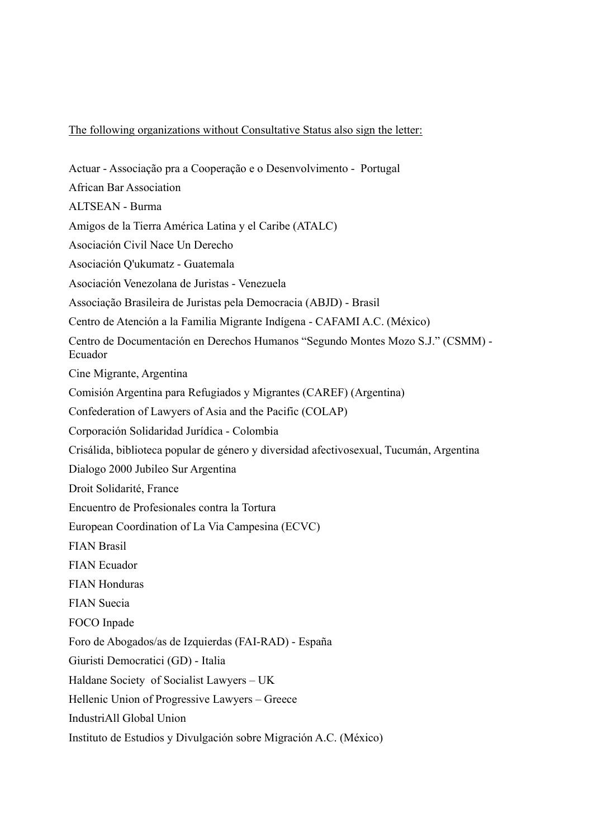## The following organizations without Consultative Status also sign the letter:

Actuar - Associação pra a Cooperação e o Desenvolvimento - Portugal African Bar Association ALTSEAN - Burma Amigos de la Tierra América Latina y el Caribe (ATALC) Asociación Civil Nace Un Derecho Asociación Q'ukumatz - Guatemala Asociación Venezolana de Juristas - Venezuela Associação Brasileira de Juristas pela Democracia (ABJD) - Brasil Centro de Atención a la Familia Migrante Indígena - CAFAMI A.C. (México) Centro de Documentación en Derechos Humanos "Segundo Montes Mozo S.J." (CSMM) - Ecuador Cine Migrante, Argentina Comisión Argentina para Refugiados y Migrantes (CAREF) (Argentina) Confederation of Lawyers of Asia and the Pacific (COLAP) Corporación Solidaridad Jurídica - Colombia Crisálida, biblioteca popular de género y diversidad afectivosexual, Tucumán, Argentina Dialogo 2000 Jubileo Sur Argentina Droit Solidarité, France Encuentro de Profesionales contra la Tortura European Coordination of La Via Campesina (ECVC) FIAN Brasil FIAN Ecuador FIAN Honduras FIAN Suecia FOCO Inpade Foro de Abogados/as de Izquierdas (FAI-RAD) - España Giuristi Democratici (GD) - Italia Haldane Society of Socialist Lawyers – UK Hellenic Union of Progressive Lawyers – Greece IndustriAll Global Union Instituto de Estudios y Divulgación sobre Migración A.C. (México)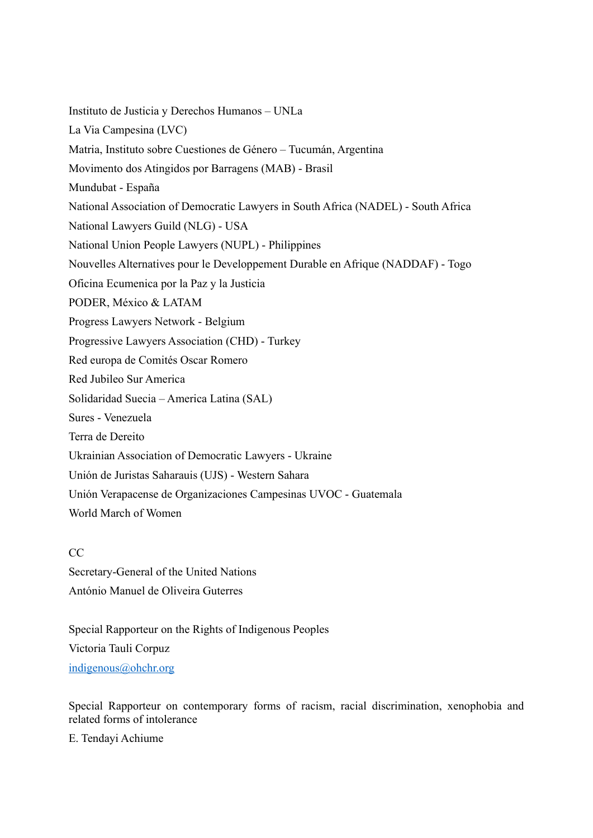Instituto de Justicia y Derechos Humanos – UNLa La Via Campesina (LVC) Matria, Instituto sobre Cuestiones de Género – Tucumán, Argentina Movimento dos Atingidos por Barragens (MAB) - Brasil Mundubat - España National Association of Democratic Lawyers in South Africa (NADEL) - South Africa National Lawyers Guild (NLG) - USA National Union People Lawyers (NUPL) - Philippines Nouvelles Alternatives pour le Developpement Durable en Afrique (NADDAF) - Togo Oficina Ecumenica por la Paz y la Justicia PODER, México & LATAM Progress Lawyers Network - Belgium Progressive Lawyers Association (CHD) - Turkey Red europa de Comités Oscar Romero Red Jubileo Sur America Solidaridad Suecia – America Latina (SAL) Sures - Venezuela Terra de Dereito Ukrainian Association of Democratic Lawyers - Ukraine Unión de Juristas Saharauis (UJS) - Western Sahara Unión Verapacense de Organizaciones Campesinas UVOC - Guatemala World March of Women

CC Secretary-General of the United Nations António Manuel de Oliveira Guterres

Special Rapporteur on the Rights of Indigenous Peoples Victoria Tauli Corpuz indigenous@ohchr.org

Special Rapporteur on contemporary forms of racism, racial discrimination, xenophobia and related forms of intolerance

E. Tendayi Achiume